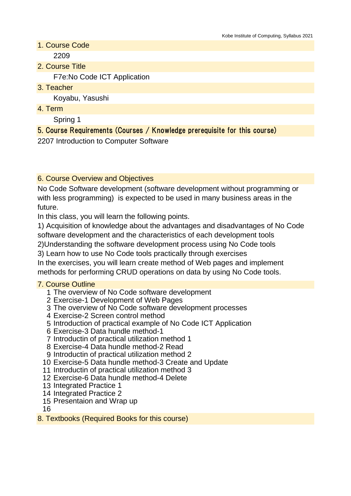- 1. Course Code 2209
- 2. Course Title

F7e:No Code ICT Application

3. Teacher

Koyabu, Yasushi

4. Term

Spring 1

# 5. Course Requirements (Courses / Knowledge prerequisite for this course)

2207 Introduction to Computer Software

## 6. Course Overview and Objectives

No Code Software development (software development without programming or with less programming) is expected to be used in many business areas in the future.

In this class, you will learn the following points.

1) Acquisition of knowledge about the advantages and disadvantages of No Code software development and the characteristics of each development tools

2)Understanding the software development process using No Code tools

3) Learn how to use No Code tools practically through exercises

In the exercises, you will learn create method of Web pages and implement methods for performing CRUD operations on data by using No Code tools.

### 7. Course Outline

- 1 The overview of No Code software development
- 2 Exercise-1 Development of Web Pages
- 3 The overview of No Code software development processes
- 4 Exercise-2 Screen control method
- 5 Introduction of practical example of No Code ICT Application
- 6 Exercise-3 Data hundle method-1
- 7 Introductin of practical utilization method 1
- 8 Exercise-4 Data hundle method-2 Read
- 9 Introductin of practical utilization method 2
- 10 Exercise-5 Data hundle method-3 Create and Update
- 11 Introductin of practical utilization method 3
- 12 Exercise-6 Data hundle method-4 Delete
- 13 Integrated Practice 1
- 14 Integrated Practice 2
- 15 Presentaion and Wrap up

16

8. Textbooks (Required Books for this course)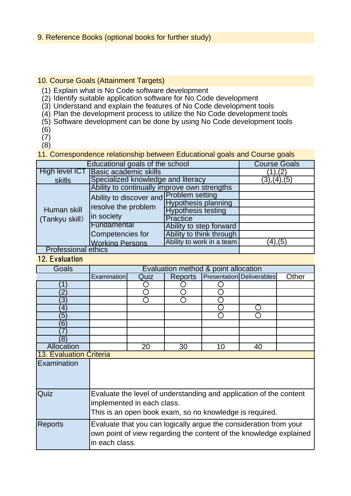#### 10. Course Goals (Attainment Targets)

- (1) Explain what is No Code software development
- (2) Identify suitable application software for No Code development
- (3) Understand and explain the features of No Code development tools
- (4) Plan the development process to utilize the No Code development tools
- (5) Software development can be done by using No Code development tools
- (6)
- (7)
- (8)

11. Correspondence relationship between Educational goals and Course goals

| Educational goals of the school | <b>Course Goals</b>                                                          |                            |               |
|---------------------------------|------------------------------------------------------------------------------|----------------------------|---------------|
| High level ICT                  | <b>Basic academic skills</b>                                                 | 1),(2)                     |               |
| skills                          | Specialized knowledge and literacy                                           | (3),(4),(5)                |               |
| Human skill<br>(Tankyu skill)   | Ability to continually improve own strengths                                 |                            |               |
|                                 | Ability to discover and Problem setting<br>resolve the problem<br>in society |                            |               |
|                                 |                                                                              | <b>Hypothesis planning</b> |               |
|                                 |                                                                              | <b>Hypothesis testing</b>  |               |
|                                 |                                                                              | <b>Practice</b>            |               |
|                                 | Fundamental                                                                  | Ability to step forward    |               |
|                                 | Competencies for                                                             | Ability to think through   |               |
|                                 | <b>Working Persons</b>                                                       | Ability to work in a team  | $(4)$ , $(5)$ |
| <b>Professional ethics</b>      |                                                                              |                            |               |

### 12. Evaluation

| <b>Goals</b>                   | Evaluation method & point allocation                                                                                                                        |      |                |    |                                  |       |
|--------------------------------|-------------------------------------------------------------------------------------------------------------------------------------------------------------|------|----------------|----|----------------------------------|-------|
|                                | Examination                                                                                                                                                 | Quiz | <b>Reports</b> |    | <b>Presentation Deliverables</b> | Other |
| 1                              |                                                                                                                                                             |      |                |    |                                  |       |
|                                |                                                                                                                                                             |      |                |    |                                  |       |
| 3                              |                                                                                                                                                             |      |                |    |                                  |       |
| 4                              |                                                                                                                                                             |      |                |    |                                  |       |
| 5                              |                                                                                                                                                             |      |                |    |                                  |       |
| 6                              |                                                                                                                                                             |      |                |    |                                  |       |
|                                |                                                                                                                                                             |      |                |    |                                  |       |
| ΄8                             |                                                                                                                                                             |      |                |    |                                  |       |
| Allocation                     |                                                                                                                                                             | 20   | 30             | 10 | 40                               |       |
| <b>13. Evaluation Criteria</b> |                                                                                                                                                             |      |                |    |                                  |       |
| Examination                    |                                                                                                                                                             |      |                |    |                                  |       |
| Quiz                           | Evaluate the level of understanding and application of the content<br>implemented in each class.<br>This is an open book exam, so no knowledge is required. |      |                |    |                                  |       |
| Reports                        | Evaluate that you can logically argue the consideration from your<br>own point of view regarding the content of the knowledge explained<br>in each class.   |      |                |    |                                  |       |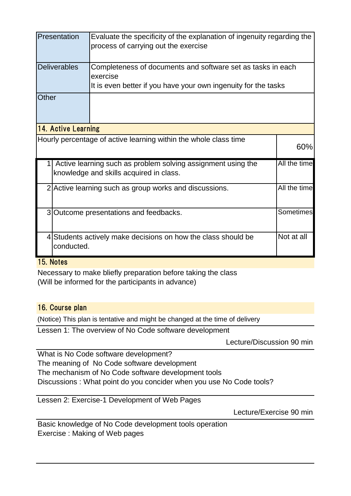|                                                                  | Presentation                                                                                                            | Evaluate the specificity of the explanation of ingenuity regarding the<br>process of carrying out the exercise                            |  |  |  |  |
|------------------------------------------------------------------|-------------------------------------------------------------------------------------------------------------------------|-------------------------------------------------------------------------------------------------------------------------------------------|--|--|--|--|
|                                                                  | <b>Deliverables</b>                                                                                                     | Completeness of documents and software set as tasks in each<br>exercise<br>It is even better if you have your own ingenuity for the tasks |  |  |  |  |
| Other                                                            |                                                                                                                         |                                                                                                                                           |  |  |  |  |
| <b>14. Active Learning</b>                                       |                                                                                                                         |                                                                                                                                           |  |  |  |  |
| Hourly percentage of active learning within the whole class time |                                                                                                                         |                                                                                                                                           |  |  |  |  |
|                                                                  | All the time<br>Active learning such as problem solving assignment using the<br>knowledge and skills acquired in class. |                                                                                                                                           |  |  |  |  |
|                                                                  | All the time<br>2 Active learning such as group works and discussions.                                                  |                                                                                                                                           |  |  |  |  |
|                                                                  | Sometimes<br>3 Outcome presentations and feedbacks.                                                                     |                                                                                                                                           |  |  |  |  |
|                                                                  | Not at all<br>4 Students actively make decisions on how the class should be<br>conducted.                               |                                                                                                                                           |  |  |  |  |

#### 15. Notes

Necessary to make bliefly preparation before taking the class (Will be informed for the participants in advance)

#### 16. Course plan

(Notice) This plan is tentative and might be changed at the time of delivery

Lessen 1: The overview of No Code software development

Lecture/Discussion 90 min

What is No Code software development? The meaning of No Code software development The mechanism of No Code software development tools Discussions : What point do you concider when you use No Code tools?

Lessen 2: Exercise-1 Development of Web Pages

Lecture/Exercise 90 min

Basic knowledge of No Code development tools operation Exercise : Making of Web pages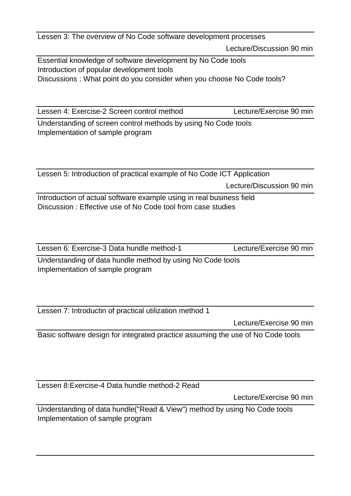Lecture/Discussion 90 min Lessen 3: The overview of No Code software development processes

Essential knowledge of software development by No Code tools Introduction of popular development tools Discussions : What point do you consider when you choose No Code tools?

Lessen 4: Exercise-2 Screen control method Lecture/Exercise 90 min

Understanding of screen control methods by using No Code tooIs Implementation of sample program

Lecture/Discussion 90 min Lessen 5: Introduction of practical example of No Code ICT Application

Introduction of actual software example using in real business field Discussion : Effective use of No Code tool from case studies

Lessen 6: Exercise-3 Data hundle method-1 Lecture/Exercise 90 min

Understanding of data hundle method by using No Code tooIs Implementation of sample program

Lessen 7: Introductin of practical utilization method 1

Lecture/Exercise 90 min

Basic software design for integrated practice assuming the use of No Code tools

Lessen 8:Exercise-4 Data hundle method-2 Read

Lecture/Exercise 90 min

Understanding of data hundle("Read & View") method by using No Code tooIs Implementation of sample program